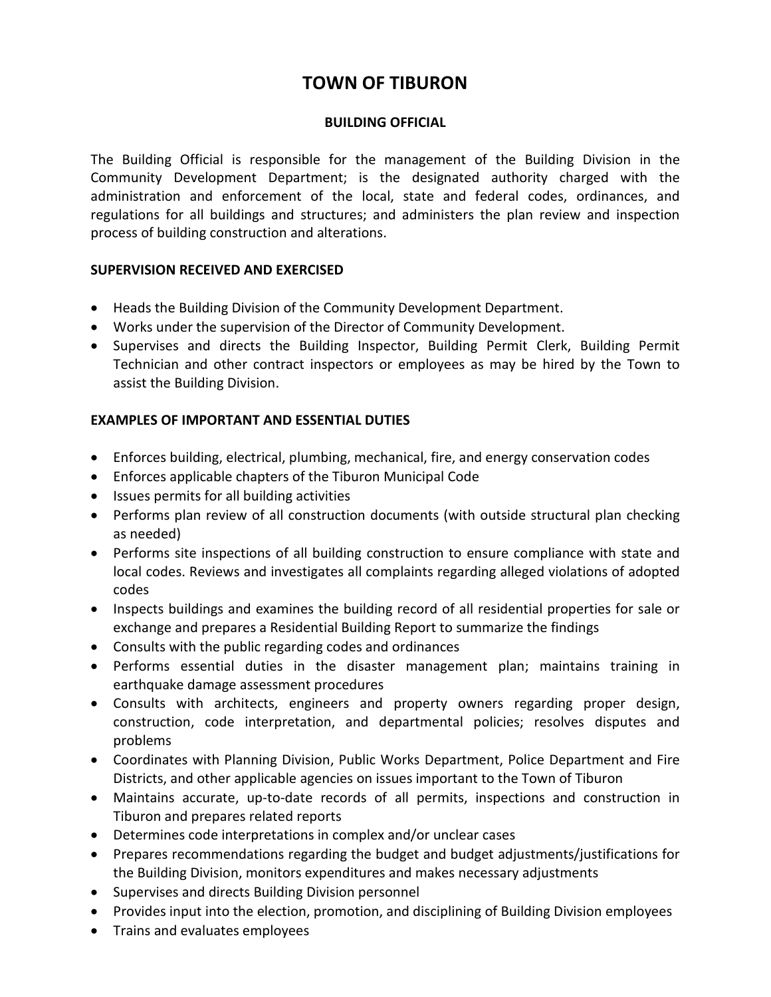# **TOWN OF TIBURON**

### **BUILDING OFFICIAL**

The Building Official is responsible for the management of the Building Division in the Community Development Department; is the designated authority charged with the administration and enforcement of the local, state and federal codes, ordinances, and regulations for all buildings and structures; and administers the plan review and inspection process of building construction and alterations.

### **SUPERVISION RECEIVED AND EXERCISED**

- Heads the Building Division of the Community Development Department.
- Works under the supervision of the Director of Community Development.
- Supervises and directs the Building Inspector, Building Permit Clerk, Building Permit Technician and other contract inspectors or employees as may be hired by the Town to assist the Building Division.

# **EXAMPLES OF IMPORTANT AND ESSENTIAL DUTIES**

- Enforces building, electrical, plumbing, mechanical, fire, and energy conservation codes
- Enforces applicable chapters of the Tiburon Municipal Code
- Issues permits for all building activities
- Performs plan review of all construction documents (with outside structural plan checking as needed)
- Performs site inspections of all building construction to ensure compliance with state and local codes. Reviews and investigates all complaints regarding alleged violations of adopted codes
- Inspects buildings and examines the building record of all residential properties for sale or exchange and prepares a Residential Building Report to summarize the findings
- Consults with the public regarding codes and ordinances
- Performs essential duties in the disaster management plan; maintains training in earthquake damage assessment procedures
- Consults with architects, engineers and property owners regarding proper design, construction, code interpretation, and departmental policies; resolves disputes and problems
- Coordinates with Planning Division, Public Works Department, Police Department and Fire Districts, and other applicable agencies on issues important to the Town of Tiburon
- Maintains accurate, up-to-date records of all permits, inspections and construction in Tiburon and prepares related reports
- Determines code interpretations in complex and/or unclear cases
- Prepares recommendations regarding the budget and budget adjustments/justifications for the Building Division, monitors expenditures and makes necessary adjustments
- Supervises and directs Building Division personnel
- Provides input into the election, promotion, and disciplining of Building Division employees
- Trains and evaluates employees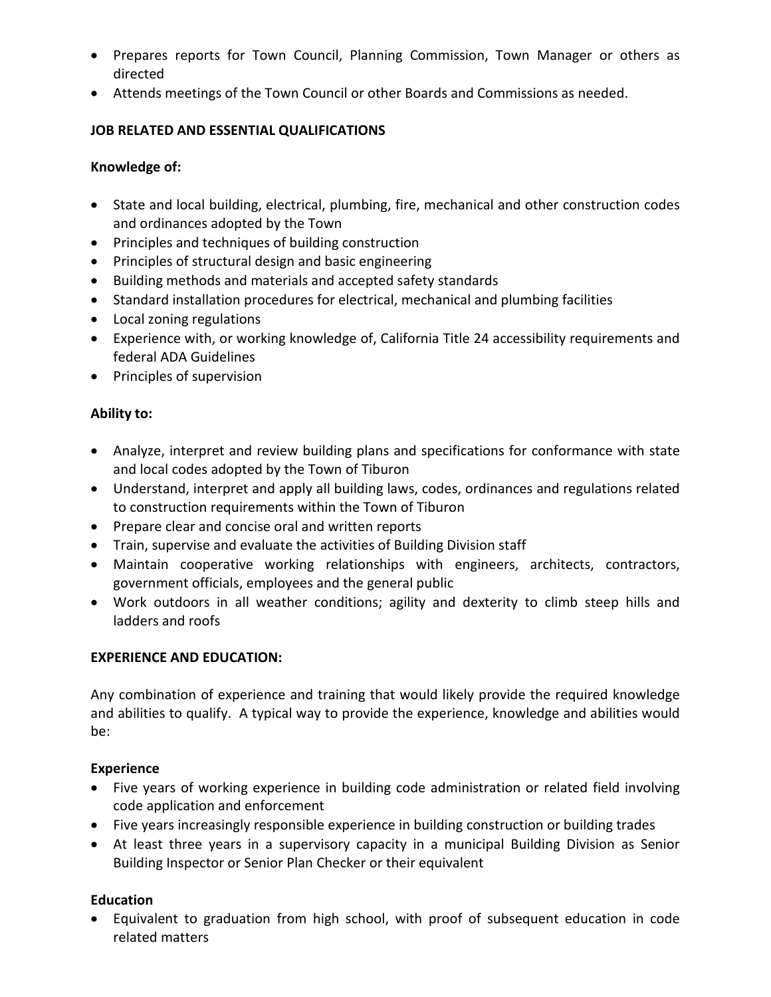- Prepares reports for Town Council, Planning Commission, Town Manager or others as directed
- Attends meetings of the Town Council or other Boards and Commissions as needed.

# **JOB RELATED AND ESSENTIAL QUALIFICATIONS**

# **Knowledge of:**

- State and local building, electrical, plumbing, fire, mechanical and other construction codes and ordinances adopted by the Town
- Principles and techniques of building construction
- Principles of structural design and basic engineering
- Building methods and materials and accepted safety standards
- Standard installation procedures for electrical, mechanical and plumbing facilities
- Local zoning regulations
- Experience with, or working knowledge of, California Title 24 accessibility requirements and federal ADA Guidelines
- Principles of supervision

# **Ability to:**

- Analyze, interpret and review building plans and specifications for conformance with state and local codes adopted by the Town of Tiburon
- Understand, interpret and apply all building laws, codes, ordinances and regulations related to construction requirements within the Town of Tiburon
- Prepare clear and concise oral and written reports
- Train, supervise and evaluate the activities of Building Division staff
- Maintain cooperative working relationships with engineers, architects, contractors, government officials, employees and the general public
- Work outdoors in all weather conditions; agility and dexterity to climb steep hills and ladders and roofs

# **EXPERIENCE AND EDUCATION:**

Any combination of experience and training that would likely provide the required knowledge and abilities to qualify. A typical way to provide the experience, knowledge and abilities would be:

# **Experience**

- Five years of working experience in building code administration or related field involving code application and enforcement
- Five years increasingly responsible experience in building construction or building trades
- At least three years in a supervisory capacity in a municipal Building Division as Senior Building Inspector or Senior Plan Checker or their equivalent

# **Education**

• Equivalent to graduation from high school, with proof of subsequent education in code related matters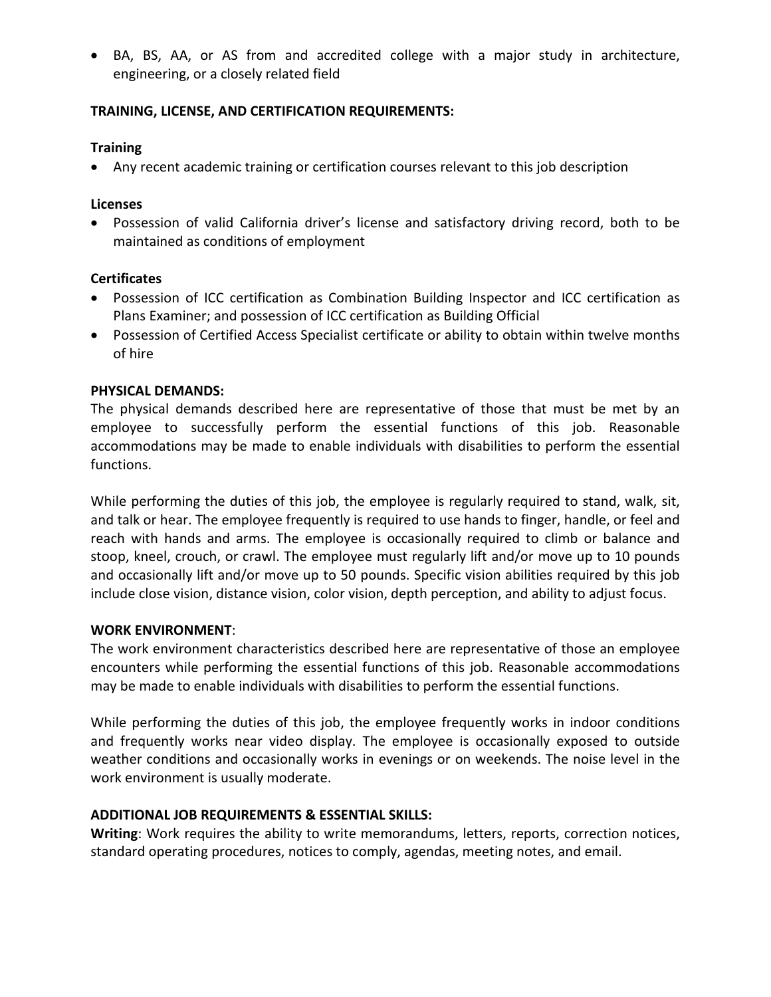• BA, BS, AA, or AS from and accredited college with a major study in architecture, engineering, or a closely related field

## **TRAINING, LICENSE, AND CERTIFICATION REQUIREMENTS:**

#### **Training**

• Any recent academic training or certification courses relevant to this job description

#### **Licenses**

• Possession of valid California driver's license and satisfactory driving record, both to be maintained as conditions of employment

### **Certificates**

- Possession of ICC certification as Combination Building Inspector and ICC certification as Plans Examiner; and possession of ICC certification as Building Official
- Possession of Certified Access Specialist certificate or ability to obtain within twelve months of hire

#### **PHYSICAL DEMANDS:**

The physical demands described here are representative of those that must be met by an employee to successfully perform the essential functions of this job. Reasonable accommodations may be made to enable individuals with disabilities to perform the essential functions.

While performing the duties of this job, the employee is regularly required to stand, walk, sit, and talk or hear. The employee frequently is required to use hands to finger, handle, or feel and reach with hands and arms. The employee is occasionally required to climb or balance and stoop, kneel, crouch, or crawl. The employee must regularly lift and/or move up to 10 pounds and occasionally lift and/or move up to 50 pounds. Specific vision abilities required by this job include close vision, distance vision, color vision, depth perception, and ability to adjust focus.

#### **WORK ENVIRONMENT**:

The work environment characteristics described here are representative of those an employee encounters while performing the essential functions of this job. Reasonable accommodations may be made to enable individuals with disabilities to perform the essential functions.

While performing the duties of this job, the employee frequently works in indoor conditions and frequently works near video display. The employee is occasionally exposed to outside weather conditions and occasionally works in evenings or on weekends. The noise level in the work environment is usually moderate.

#### **ADDITIONAL JOB REQUIREMENTS & ESSENTIAL SKILLS:**

**Writing**: Work requires the ability to write memorandums, letters, reports, correction notices, standard operating procedures, notices to comply, agendas, meeting notes, and email.